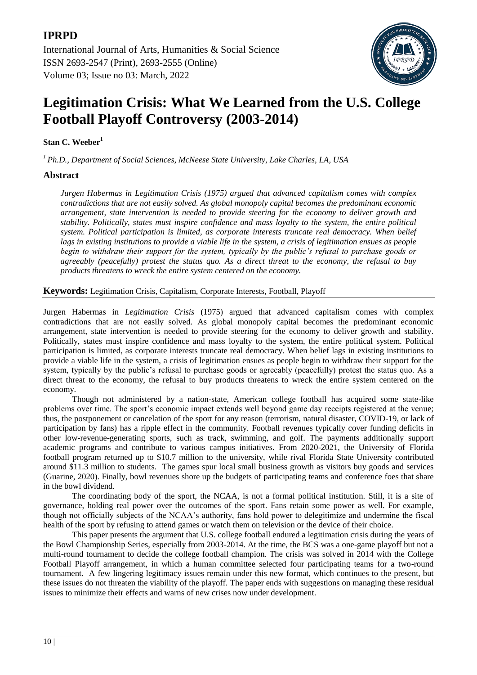

# **Legitimation Crisis: What We Learned from the U.S. College Football Playoff Controversy (2003-2014)**

# **Stan C. Weeber<sup>1</sup>**

*<sup>1</sup>Ph.D., Department of Social Sciences, McNeese State University, Lake Charles, LA, USA*

## **Abstract**

*Jurgen Habermas in Legitimation Crisis (1975) argued that advanced capitalism comes with complex contradictions that are not easily solved. As global monopoly capital becomes the predominant economic arrangement, state intervention is needed to provide steering for the economy to deliver growth and stability. Politically, states must inspire confidence and mass loyalty to the system, the entire political system. Political participation is limited, as corporate interests truncate real democracy. When belief lags in existing institutions to provide a viable life in the system, a crisis of legitimation ensues as people begin to withdraw their support for the system, typically by the public's refusal to purchase goods or agreeably (peacefully) protest the status quo. As a direct threat to the economy, the refusal to buy products threatens to wreck the entire system centered on the economy.*

**Keywords:** Legitimation Crisis, Capitalism, Corporate Interests, Football, Playoff

Jurgen Habermas in *Legitimation Crisis* (1975) argued that advanced capitalism comes with complex contradictions that are not easily solved. As global monopoly capital becomes the predominant economic arrangement, state intervention is needed to provide steering for the economy to deliver growth and stability. Politically, states must inspire confidence and mass loyalty to the system, the entire political system. Political participation is limited, as corporate interests truncate real democracy. When belief lags in existing institutions to provide a viable life in the system, a crisis of legitimation ensues as people begin to withdraw their support for the system, typically by the public's refusal to purchase goods or agreeably (peacefully) protest the status quo. As a direct threat to the economy, the refusal to buy products threatens to wreck the entire system centered on the economy.

Though not administered by a nation-state, American college football has acquired some state-like problems over time. The sport"s economic impact extends well beyond game day receipts registered at the venue; thus, the postponement or cancelation of the sport for any reason (terrorism, natural disaster, COVID-19, or lack of participation by fans) has a ripple effect in the community. Football revenues typically cover funding deficits in other low-revenue-generating sports, such as track, swimming, and golf. The payments additionally support academic programs and contribute to various campus initiatives. From 2020-2021, the University of Florida football program returned up to \$10.7 million to the university, while rival Florida State University contributed around \$11.3 million to students. The games spur local small business growth as visitors buy goods and services (Guarine, 2020). Finally, bowl revenues shore up the budgets of participating teams and conference foes that share in the bowl dividend.

The coordinating body of the sport, the NCAA, is not a formal political institution. Still, it is a site of governance, holding real power over the outcomes of the sport. Fans retain some power as well. For example, though not officially subjects of the NCAA"s authority, fans hold power to delegitimize and undermine the fiscal health of the sport by refusing to attend games or watch them on television or the device of their choice.

This paper presents the argument that U.S. college football endured a legitimation crisis during the years of the Bowl Championship Series, especially from 2003-2014. At the time, the BCS was a one-game playoff but not a multi-round tournament to decide the college football champion. The crisis was solved in 2014 with the College Football Playoff arrangement, in which a human committee selected four participating teams for a two-round tournament. A few lingering legitimacy issues remain under this new format, which continues to the present, but these issues do not threaten the viability of the playoff. The paper ends with suggestions on managing these residual issues to minimize their effects and warns of new crises now under development.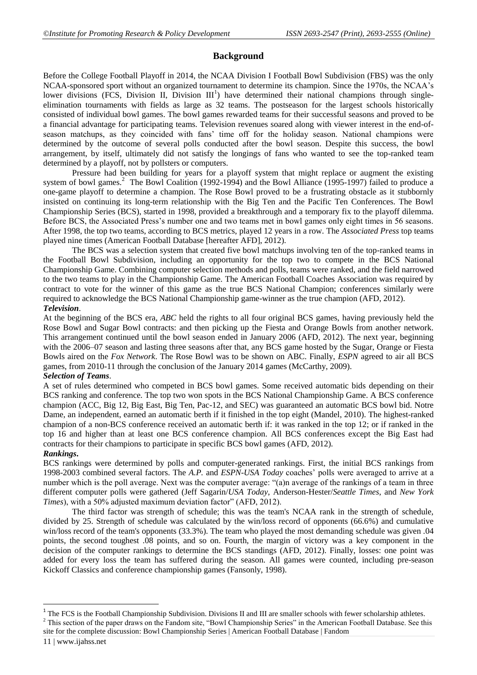## **Background**

Before the College Football Playoff in 2014, the NCAA Division I Football Bowl Subdivision (FBS) was the only NCAA-sponsored sport without an organized tournament to determine its champion. Since the 1970s, the NCAA"s lower divisions (FCS, Division II, Division III<sup>1</sup>) have determined their national champions through singleelimination tournaments with fields as large as 32 teams. The postseason for the largest schools historically consisted of individual bowl games. The bowl games rewarded teams for their successful seasons and proved to be a financial advantage for participating teams. Television revenues soared along with viewer interest in the end-ofseason matchups, as they coincided with fans" time off for the holiday season. National champions were determined by the outcome of several polls conducted after the bowl season. Despite this success, the bowl arrangement, by itself, ultimately did not satisfy the longings of fans who wanted to see the top-ranked team determined by a playoff, not by pollsters or computers.

Pressure had been building for years for a playoff system that might replace or augment the existing system of bowl games.<sup>2</sup> The Bowl Coalition (1992-1994) and the Bowl Alliance (1995-1997) failed to produce a one-game playoff to determine a champion. The Rose Bowl proved to be a frustrating obstacle as it stubbornly insisted on continuing its long-term relationship with the Big Ten and the Pacific Ten Conferences. The Bowl Championship Series (BCS), started in 1998, provided a breakthrough and a temporary fix to the playoff dilemma. Before BCS, the Associated Press"s number one and two teams met in bowl games only eight times in 56 seasons. After 1998, the top two teams, according to BCS metrics, played 12 years in a row. The *Associated Press* top teams played nine times (American Football Database [hereafter AFD], 2012).

The BCS was a selection system that created five bowl matchups involving ten of the top-ranked teams in the Football Bowl Subdivision, including an opportunity for the top two to compete in the BCS National Championship Game. Combining computer selection methods and polls, teams were ranked, and the field narrowed to the two teams to play in the Championship Game. The American Football Coaches Association was required by contract to vote for the winner of this game as the true BCS National Champion; conferences similarly were required to acknowledge the BCS National Championship game-winner as the true champion (AFD, 2012).

## *Television*.

At the beginning of the BCS era, *ABC* held the rights to all four original BCS games, having previously held the Rose Bowl and Sugar Bowl contracts: and then picking up the Fiesta and Orange Bowls from another network. This arrangement continued until the bowl season ended in January 2006 (AFD, 2012). The next year, beginning with the 2006–07 season and lasting three seasons after that, any BCS game hosted by the Sugar, Orange or Fiesta Bowls aired on the *Fox Network*. The Rose Bowl was to be shown on ABC. Finally, *ESPN* agreed to air all BCS games, from 2010-11 through the conclusion of the January 2014 games (McCarthy, 2009).

## *Selection of Teams*.

A set of rules determined who competed in BCS bowl games. Some received automatic bids depending on their BCS ranking and conference. The top two won spots in the BCS National Championship Game. A BCS conference champion (ACC, Big 12, Big East, Big Ten, Pac-12, and SEC) was guaranteed an automatic BCS bowl bid. Notre Dame, an independent, earned an automatic berth if it finished in the top eight (Mandel, 2010). The highest-ranked champion of a non-BCS conference received an automatic berth if: it was ranked in the top 12; or if ranked in the top 16 and higher than at least one BCS conference champion. All BCS conferences except the Big East had contracts for their champions to participate in specific BCS bowl games (AFD, 2012).

#### *Rankings***.**

BCS rankings were determined by polls and computer-generated rankings. First, the initial BCS rankings from 1998-2003 combined several factors. The *A.P.* and *ESPN-USA Today* coaches" polls were averaged to arrive at a number which is the poll average. Next was the computer average: "(a)n average of the rankings of a team in three different computer polls were gathered (Jeff Sagarin/*USA Today*, Anderson-Hester/*Seattle Times*, and *New York Times*), with a 50% adjusted maximum deviation factor" (AFD, 2012).

The third factor was strength of schedule; this was the team's NCAA rank in the strength of schedule, divided by 25. Strength of schedule was calculated by the win/loss record of opponents (66.6%) and cumulative win/loss record of the team's opponents (33.3%). The team who played the most demanding schedule was given .04 points, the second toughest .08 points, and so on. Fourth, the margin of victory was a key component in the decision of the computer rankings to determine the BCS standings (AFD, 2012). Finally, losses: one point was added for every loss the team has suffered during the season. All games were counted, including pre-season Kickoff Classics and conference championship games (Fansonly, 1998).

**.** 

 $1$  The FCS is the Football Championship Subdivision. Divisions II and III are smaller schools with fewer scholarship athletes.  $2$  This section of the paper draws on the Fandom site, "Bowl Championship Series" in the American Football Database. See this

site for the complete discussion: [Bowl Championship Series | American Football Database | Fandom](https://americanfootballdatabase.fandom.com/wiki/Bowl_Championship_Series)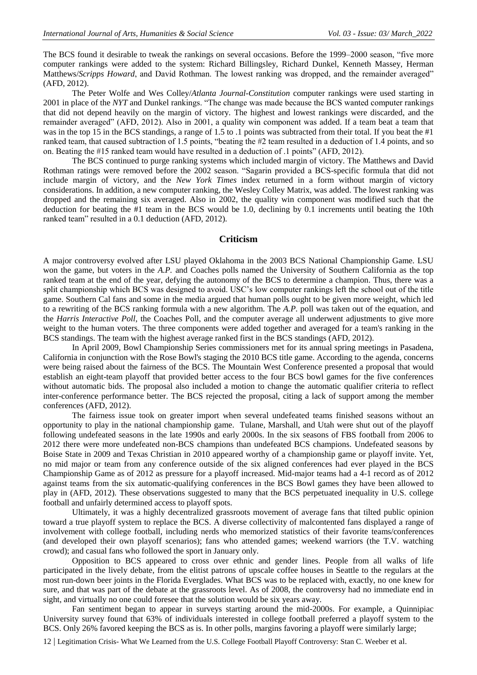The BCS found it desirable to tweak the rankings on several occasions. Before the 1999–2000 season, "five more computer rankings were added to the system: Richard Billingsley, Richard Dunkel, Kenneth Massey, Herman Matthews/*Scripps Howard*, and David Rothman. The lowest ranking was dropped, and the remainder averaged" (AFD, 2012).

The Peter Wolfe and Wes Colley/*Atlanta Journal-Constitution* computer rankings were used starting in 2001 in place of the *NYT* and Dunkel rankings. "The change was made because the BCS wanted computer rankings that did not depend heavily on the margin of victory. The highest and lowest rankings were discarded, and the remainder averaged" (AFD, 2012). Also in 2001, a quality win component was added. If a team beat a team that was in the top 15 in the BCS standings, a range of 1.5 to .1 points was subtracted from their total. If you beat the #1 ranked team, that caused subtraction of 1.5 points, "beating the #2 team resulted in a deduction of 1.4 points, and so on. Beating the #15 ranked team would have resulted in a deduction of .1 points" (AFD, 2012).

The BCS continued to purge ranking systems which included margin of victory. The Matthews and David Rothman ratings were removed before the 2002 season. "Sagarin provided a BCS-specific formula that did not include margin of victory, and the *New York Times* index returned in a form without margin of victory considerations. In addition, a new computer ranking, the Wesley Colley Matrix, was added. The lowest ranking was dropped and the remaining six averaged. Also in 2002, the quality win component was modified such that the deduction for beating the #1 team in the BCS would be 1.0, declining by 0.1 increments until beating the 10th ranked team" resulted in a 0.1 deduction (AFD, 2012).

#### **Criticism**

A major controversy evolved after LSU played Oklahoma in the 2003 BCS National Championship Game. LSU won the game, but voters in the *A.P.* and Coaches polls named the University of Southern California as the top ranked team at the end of the year, defying the autonomy of the BCS to determine a champion. Thus, there was a split championship which BCS was designed to avoid. USC"s low computer rankings left the school out of the title game. Southern Cal fans and some in the media argued that human polls ought to be given more weight, which led to a rewriting of the BCS ranking formula with a new algorithm. The *A.P.* poll was taken out of the equation, and the *Harris Interactive Poll*, the Coaches Poll, and the computer average all underwent adjustments to give more weight to the human voters. The three components were added together and averaged for a team's ranking in the BCS standings. The team with the highest average ranked first in the BCS standings (AFD, 2012).

In April 2009, Bowl Championship Series commissioners met for its annual spring meetings in Pasadena, California in conjunction with the Rose Bowl's staging the 2010 BCS title game. According to the agenda, concerns were being raised about the fairness of the BCS. The Mountain West Conference presented a proposal that would establish an eight-team playoff that provided better access to the four BCS bowl games for the five conferences without automatic bids. The proposal also included a motion to change the automatic qualifier criteria to reflect inter-conference performance better. The BCS rejected the proposal, citing a lack of support among the member conferences (AFD, 2012).

The fairness issue took on greater import when several undefeated teams finished seasons without an opportunity to play in the national championship game. Tulane, Marshall, and Utah were shut out of the playoff following undefeated seasons in the late 1990s and early 2000s. In the six seasons of FBS football from 2006 to 2012 there were more undefeated non-BCS champions than undefeated BCS champions. Undefeated seasons by Boise State in 2009 and Texas Christian in 2010 appeared worthy of a championship game or playoff invite. Yet, no mid major or team from any conference outside of the six aligned conferences had ever played in the BCS Championship Game as of 2012 as pressure for a playoff increased. Mid-major teams had a 4-1 record as of 2012 against teams from the six automatic-qualifying conferences in the BCS Bowl games they have been allowed to play in (AFD, 2012). These observations suggested to many that the BCS perpetuated inequality in U.S. college football and unfairly determined access to playoff spots.

Ultimately, it was a highly decentralized grassroots movement of average fans that tilted public opinion toward a true playoff system to replace the BCS. A diverse collectivity of malcontented fans displayed a range of involvement with college football, including nerds who memorized statistics of their favorite teams/conferences (and developed their own playoff scenarios); fans who attended games; weekend warriors (the T.V. watching crowd); and casual fans who followed the sport in January only.

Opposition to BCS appeared to cross over ethnic and gender lines. People from all walks of life participated in the lively debate, from the elitist patrons of upscale coffee houses in Seattle to the regulars at the most run-down beer joints in the Florida Everglades. What BCS was to be replaced with, exactly, no one knew for sure, and that was part of the debate at the grassroots level. As of 2008, the controversy had no immediate end in sight, and virtually no one could foresee that the solution would be six years away.

Fan sentiment began to appear in surveys starting around the mid-2000s. For example, a Quinnipiac University survey found that 63% of individuals interested in college football preferred a playoff system to the BCS. Only 26% favored keeping the BCS as is. In other polls, margins favoring a playoff were similarly large;

12 | Legitimation Crisis- What We Learned from the U.S. College Football Playoff Controversy: Stan C. Weeber et al.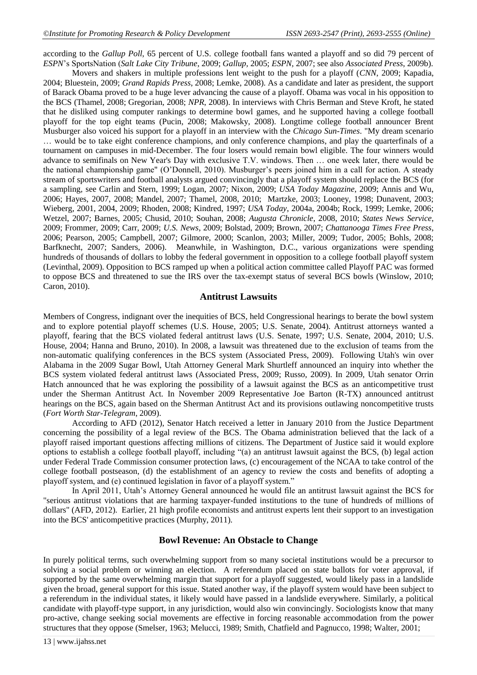according to the *Gallup Poll*, 65 percent of U.S. college football fans wanted a playoff and so did 79 percent of *ESPN*"s SportsNation (*Salt Lake City Tribune*, 2009; *Gallup,* 2005; *ESPN,* 2007; see also *Associated Press*, 2009b).

Movers and shakers in multiple professions lent weight to the push for a playoff (*CNN*, 2009; Kapadia, 2004; Bluestein, 2009; *Grand Rapids Press*, 2008; Lemke, 2008). As a candidate and later as president, the support of Barack Obama proved to be a huge lever advancing the cause of a playoff. Obama was vocal in his opposition to the BCS (Thamel, 2008; Gregorian, 2008; *NPR*, 2008). In interviews with Chris Berman and Steve Kroft, he stated that he disliked using computer rankings to determine bowl games, and he supported having a college football playoff for the top eight teams (Pucin, 2008; Makowsky, 2008). Longtime college football announcer Brent Musburger also voiced his support for a playoff in an interview with the *Chicago Sun-Times*. "My dream scenario … would be to take eight conference champions, and only conference champions, and play the quarterfinals of a tournament on campuses in mid-December. The four losers would remain bowl eligible. The four winners would advance to semifinals on New Year's Day with exclusive T.V. windows. Then … one week later, there would be the national championship game" (O'Donnell, 2010). Musburger's peers joined him in a call for action. A steady stream of sportswriters and football analysts argued convincingly that a playoff system should replace the BCS (for a sampling, see Carlin and Stern, 1999; Logan, 2007; Nixon, 2009; *USA Today Magazine*, 2009; Annis and Wu, 2006; Hayes, 2007, 2008; Mandel, 2007; Thamel, 2008, 2010; Martzke, 2003; Looney, 1998; Dunavent, 2003; Wieberg, 2001, 2004, 2009; Rhoden, 2008; Kindred, 1997; *USA Today*, 2004a, 2004b; Rock, 1999; Lemke, 2006; Wetzel, 2007; Barnes, 2005; Chusid, 2010; Souhan, 2008; *Augusta Chronicle*, 2008, 2010; *States News Service*, 2009; Frommer, 2009; Carr, 2009; *U.S. News*, 2009; Bolstad, 2009; Brown, 2007; *Chattanooga Times Free Press*, 2006; Pearson, 2005; Campbell, 2007; Gilmore, 2000; Scanlon, 2003; Miller, 2009; Tudor, 2005; Bohls, 2008; Barfknecht, 2007; Sanders, 2006). Meanwhile, in Washington, D.C., various organizations were spending hundreds of thousands of dollars to lobby the federal government in opposition to a college football playoff system (Levinthal, 2009). Opposition to BCS ramped up when a political action committee called Playoff PAC was formed to oppose BCS and threatened to sue the IRS over the tax-exempt status of several BCS bowls (Winslow, 2010; Caron, 2010).

#### **Antitrust Lawsuits**

Members of Congress, indignant over the inequities of BCS, held Congressional hearings to berate the bowl system and to explore potential playoff schemes (U.S. House, 2005; U.S. Senate, 2004). Antitrust attorneys wanted a playoff, fearing that the BCS violated federal antitrust laws (U.S. Senate, 1997; U.S. Senate, 2004, 2010; U.S. House, 2004; Hanna and Bruno, 2010). In 2008, a lawsuit was threatened due to the exclusion of teams from the non-automatic qualifying conferences in the BCS system (Associated Press, 2009). Following Utah's win over Alabama in the 2009 Sugar Bowl, Utah Attorney General Mark Shurtleff announced an inquiry into whether the BCS system violated federal antitrust laws (Associated Press, 2009; Russo, 2009). In 2009, Utah senator Orrin Hatch announced that he was exploring the possibility of a lawsuit against the BCS as an anticompetitive trust under the Sherman Antitrust Act. In November 2009 Representative Joe Barton (R-TX) announced antitrust hearings on the BCS, again based on the Sherman Antitrust Act and its provisions outlawing noncompetitive trusts (*Fort Worth Star-Telegram*, 2009).

According to AFD (2012), Senator Hatch received a letter in January 2010 from the Justice Department concerning the possibility of a legal review of the BCS. The Obama administration believed that the lack of a playoff raised important questions affecting millions of citizens. The Department of Justice said it would explore options to establish a college football playoff, including "(a) an antitrust lawsuit against the BCS, (b) legal action under Federal Trade Commission consumer protection laws, (c) encouragement of the NCAA to take control of the college football postseason, (d) the establishment of an agency to review the costs and benefits of adopting a playoff system, and (e) continued legislation in favor of a playoff system."

In April 2011, Utah's Attorney General announced he would file an antitrust lawsuit against the BCS for "serious antitrust violations that are harming taxpayer-funded institutions to the tune of hundreds of millions of dollars" (AFD, 2012). Earlier, 21 high profile economists and antitrust experts lent their support to an investigation into the BCS' anticompetitive practices (Murphy, 2011).

## **Bowl Revenue: An Obstacle to Change**

In purely political terms, such overwhelming support from so many societal institutions would be a precursor to solving a social problem or winning an election. A referendum placed on state ballots for voter approval, if supported by the same overwhelming margin that support for a playoff suggested, would likely pass in a landslide given the broad, general support for this issue. Stated another way, if the playoff system would have been subject to a referendum in the individual states, it likely would have passed in a landslide everywhere. Similarly, a political candidate with playoff-type support, in any jurisdiction, would also win convincingly. Sociologists know that many pro-active, change seeking social movements are effective in forcing reasonable accommodation from the power structures that they oppose (Smelser, 1963; Melucci, 1989; Smith, Chatfield and Pagnucco, 1998; Walter, 2001;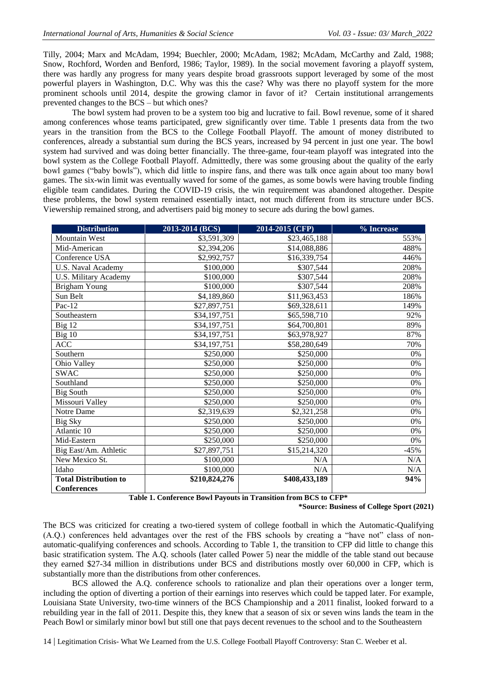Tilly, 2004; Marx and McAdam, 1994; Buechler, 2000; McAdam, 1982; McAdam, McCarthy and Zald, 1988; Snow, Rochford, Worden and Benford, 1986; Taylor, 1989). In the social movement favoring a playoff system, there was hardly any progress for many years despite broad grassroots support leveraged by some of the most powerful players in Washington, D.C. Why was this the case? Why was there no playoff system for the more prominent schools until 2014, despite the growing clamor in favor of it? Certain institutional arrangements prevented changes to the BCS – but which ones?

The bowl system had proven to be a system too big and lucrative to fail. Bowl revenue, some of it shared among conferences whose teams participated, grew significantly over time. Table 1 presents data from the two years in the transition from the BCS to the College Football Playoff. The amount of money distributed to conferences, already a substantial sum during the BCS years, increased by 94 percent in just one year. The bowl system had survived and was doing better financially. The three-game, four-team playoff was integrated into the bowl system as the College Football Playoff. Admittedly, there was some grousing about the quality of the early bowl games ("baby bowls"), which did little to inspire fans, and there was talk once again about too many bowl games. The six-win limit was eventually waved for some of the games, as some bowls were having trouble finding eligible team candidates. During the COVID-19 crisis, the win requirement was abandoned altogether. Despite these problems, the bowl system remained essentially intact, not much different from its structure under BCS. Viewership remained strong, and advertisers paid big money to secure ads during the bowl games.

| <b>Distribution</b>          | 2013-2014 (BCS) | 2014-2015 (CFP) | % Increase |
|------------------------------|-----------------|-----------------|------------|
| Mountain West                | \$3,591,309     | \$23,465,188    | 553%       |
| Mid-American                 | \$2,394,206     | \$14,088,886    | 488%       |
| Conference USA               | \$2,992,757     | \$16,339,754    | 446%       |
| U.S. Naval Academy           | \$100,000       | \$307,544       | 208%       |
| U.S. Military Academy        | \$100,000       | \$307,544       | 208%       |
| <b>Brigham Young</b>         | \$100,000       | \$307,544       | 208%       |
| Sun Belt                     | \$4,189,860     | \$11,963,453    | 186%       |
| Pac-12                       | \$27,897,751    | \$69,328,611    | 149%       |
| Southeastern                 | \$34,197,751    | \$65,598,710    | 92%        |
| Big 12                       | \$34,197,751    | \$64,700,801    | 89%        |
| Big 10                       | \$34,197,751    | \$63,978,927    | 87%        |
| ACC                          | \$34,197,751    | \$58,280,649    | 70%        |
| Southern                     | \$250,000       | \$250,000       | $0\%$      |
| Ohio Valley                  | \$250,000       | \$250,000       | 0%         |
| <b>SWAC</b>                  | \$250,000       | \$250,000       | 0%         |
| Southland                    | \$250,000       | \$250,000       | 0%         |
| <b>Big South</b>             | \$250,000       | \$250,000       | $0\%$      |
| Missouri Valley              | \$250,000       | \$250,000       | 0%         |
| Notre Dame                   | \$2,319,639     | \$2,321,258     | 0%         |
| Big Sky                      | \$250,000       | \$250,000       | 0%         |
| Atlantic 10                  | \$250,000       | \$250,000       | 0%         |
| Mid-Eastern                  | \$250,000       | \$250,000       | $0\%$      |
| Big East/Am. Athletic        | \$27,897,751    | \$15,214,320    | $-45%$     |
| New Mexico St.               | \$100,000       | N/A             | N/A        |
| Idaho                        | \$100,000       | N/A             | N/A        |
| <b>Total Distribution to</b> | \$210,824,276   | \$408,433,189   | 94%        |
| <b>Conferences</b>           |                 |                 |            |

**Table 1. Conference Bowl Payouts in Transition from BCS to CFP\***

**\*Source: Business of College Sport (2021)**

The BCS was criticized for creating a two-tiered system of college football in which the Automatic-Qualifying (A.Q.) conferences held advantages over the rest of the FBS schools by creating a "have not" class of nonautomatic-qualifying conferences and schools. According to Table 1, the transition to CFP did little to change this basic stratification system. The A.Q. schools (later called Power 5) near the middle of the table stand out because they earned \$27-34 million in distributions under BCS and distributions mostly over 60,000 in CFP, which is substantially more than the distributions from other conferences.

BCS allowed the A.Q. conference schools to rationalize and plan their operations over a longer term, including the option of diverting a portion of their earnings into reserves which could be tapped later. For example, Louisiana State University, two-time winners of the BCS Championship and a 2011 finalist, looked forward to a rebuilding year in the fall of 2011. Despite this, they knew that a season of six or seven wins lands the team in the Peach Bowl or similarly minor bowl but still one that pays decent revenues to the school and to the Southeastern

14 | Legitimation Crisis- What We Learned from the U.S. College Football Playoff Controversy: Stan C. Weeber et al.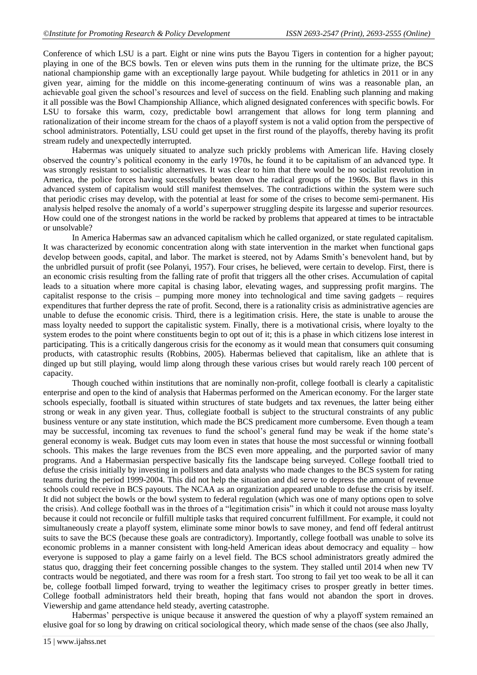Conference of which LSU is a part. Eight or nine wins puts the Bayou Tigers in contention for a higher payout; playing in one of the BCS bowls. Ten or eleven wins puts them in the running for the ultimate prize, the BCS national championship game with an exceptionally large payout. While budgeting for athletics in 2011 or in any given year, aiming for the middle on this income-generating continuum of wins was a reasonable plan, an achievable goal given the school"s resources and level of success on the field. Enabling such planning and making it all possible was the Bowl Championship Alliance, which aligned designated conferences with specific bowls. For LSU to forsake this warm, cozy, predictable bowl arrangement that allows for long term planning and rationalization of their income stream for the chaos of a playoff system is not a valid option from the perspective of school administrators. Potentially, LSU could get upset in the first round of the playoffs, thereby having its profit stream rudely and unexpectedly interrupted.

Habermas was uniquely situated to analyze such prickly problems with American life. Having closely observed the country"s political economy in the early 1970s, he found it to be capitalism of an advanced type. It was strongly resistant to socialistic alternatives. It was clear to him that there would be no socialist revolution in America, the police forces having successfully beaten down the radical groups of the 1960s. But flaws in this advanced system of capitalism would still manifest themselves. The contradictions within the system were such that periodic crises may develop, with the potential at least for some of the crises to become semi-permanent. His analysis helped resolve the anomaly of a world"s superpower struggling despite its largesse and superior resources. How could one of the strongest nations in the world be racked by problems that appeared at times to be intractable or unsolvable?

In America Habermas saw an advanced capitalism which he called organized, or state regulated capitalism. It was characterized by economic concentration along with state intervention in the market when functional gaps develop between goods, capital, and labor. The market is steered, not by Adams Smith's benevolent hand, but by the unbridled pursuit of profit (see Polanyi, 1957). Four crises, he believed, were certain to develop. First, there is an economic crisis resulting from the falling rate of profit that triggers all the other crises. Accumulation of capital leads to a situation where more capital is chasing labor, elevating wages, and suppressing profit margins. The capitalist response to the crisis – pumping more money into technological and time saving gadgets – requires expenditures that further depress the rate of profit. Second, there is a rationality crisis as administrative agencies are unable to defuse the economic crisis. Third, there is a legitimation crisis. Here, the state is unable to arouse the mass loyalty needed to support the capitalistic system. Finally, there is a motivational crisis, where loyalty to the system erodes to the point where constituents begin to opt out of it; this is a phase in which citizens lose interest in participating. This is a critically dangerous crisis for the economy as it would mean that consumers quit consuming products, with catastrophic results (Robbins, 2005). Habermas believed that capitalism, like an athlete that is dinged up but still playing, would limp along through these various crises but would rarely reach 100 percent of capacity.

Though couched within institutions that are nominally non-profit, college football is clearly a capitalistic enterprise and open to the kind of analysis that Habermas performed on the American economy. For the larger state schools especially, football is situated within structures of state budgets and tax revenues, the latter being either strong or weak in any given year. Thus, collegiate football is subject to the structural constraints of any public business venture or any state institution, which made the BCS predicament more cumbersome. Even though a team may be successful, incoming tax revenues to fund the school"s general fund may be weak if the home state"s general economy is weak. Budget cuts may loom even in states that house the most successful or winning football schools. This makes the large revenues from the BCS even more appealing, and the purported savior of many programs. And a Habermasian perspective basically fits the landscape being surveyed. College football tried to defuse the crisis initially by investing in pollsters and data analysts who made changes to the BCS system for rating teams during the period 1999-2004. This did not help the situation and did serve to depress the amount of revenue schools could receive in BCS payouts. The NCAA as an organization appeared unable to defuse the crisis by itself. It did not subject the bowls or the bowl system to federal regulation (which was one of many options open to solve the crisis). And college football was in the throes of a "legitimation crisis" in which it could not arouse mass loyalty because it could not reconcile or fulfill multiple tasks that required concurrent fulfillment. For example, it could not simultaneously create a playoff system, eliminate some minor bowls to save money, and fend off federal antitrust suits to save the BCS (because these goals are contradictory). Importantly, college football was unable to solve its economic problems in a manner consistent with long-held American ideas about democracy and equality – how everyone is supposed to play a game fairly on a level field. The BCS school administrators greatly admired the status quo, dragging their feet concerning possible changes to the system. They stalled until 2014 when new TV contracts would be negotiated, and there was room for a fresh start. Too strong to fail yet too weak to be all it can be, college football limped forward, trying to weather the legitimacy crises to prosper greatly in better times. College football administrators held their breath, hoping that fans would not abandon the sport in droves. Viewership and game attendance held steady, averting catastrophe.

Habermas" perspective is unique because it answered the question of why a playoff system remained an elusive goal for so long by drawing on critical sociological theory, which made sense of the chaos (see also Jhally,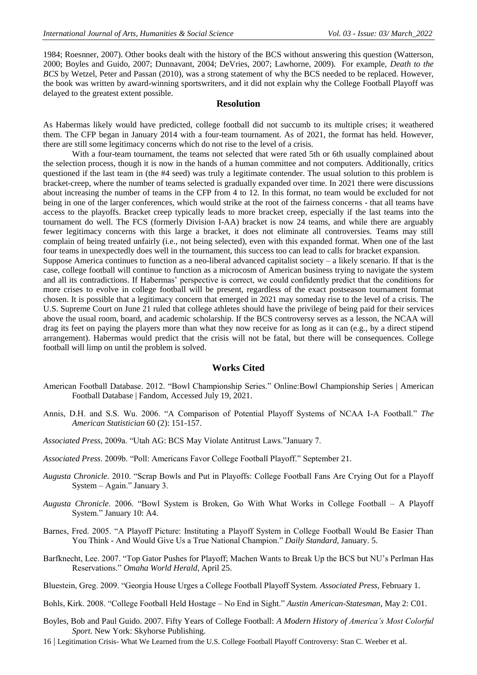1984; Roesnner, 2007). Other books dealt with the history of the BCS without answering this question (Watterson, 2000; Boyles and Guido, 2007; Dunnavant, 2004; DeVries, 2007; Lawhorne, 2009). For example, *Death to the BCS* by Wetzel, Peter and Passan (2010), was a strong statement of why the BCS needed to be replaced. However, the book was written by award-winning sportswriters, and it did not explain why the College Football Playoff was delayed to the greatest extent possible.

## **Resolution**

As Habermas likely would have predicted, college football did not succumb to its multiple crises; it weathered them. The CFP began in January 2014 with a four-team tournament. As of 2021, the format has held. However, there are still some legitimacy concerns which do not rise to the level of a crisis.

With a four-team tournament, the teams not selected that were rated 5th or 6th usually complained about the selection process, though it is now in the hands of a human committee and not computers. Additionally, critics questioned if the last team in (the #4 seed) was truly a legitimate contender. The usual solution to this problem is bracket-creep, where the number of teams selected is gradually expanded over time. In 2021 there were discussions about increasing the number of teams in the CFP from 4 to 12. In this format, no team would be excluded for not being in one of the larger conferences, which would strike at the root of the fairness concerns - that all teams have access to the playoffs. Bracket creep typically leads to more bracket creep, especially if the last teams into the tournament do well. The FCS (formerly Division I-AA) bracket is now 24 teams, and while there are arguably fewer legitimacy concerns with this large a bracket, it does not eliminate all controversies. Teams may still complain of being treated unfairly (i.e., not being selected), even with this expanded format. When one of the last four teams in unexpectedly does well in the tournament, this success too can lead to calls for bracket expansion.

Suppose America continues to function as a neo-liberal advanced capitalist society – a likely scenario. If that is the case, college football will continue to function as a microcosm of American business trying to navigate the system and all its contradictions. If Habermas' perspective is correct, we could confidently predict that the conditions for more crises to evolve in college football will be present, regardless of the exact postseason tournament format chosen. It is possible that a legitimacy concern that emerged in 2021 may someday rise to the level of a crisis. The U.S. Supreme Court on June 21 ruled that college athletes should have the privilege of being paid for their services above the usual room, board, and academic scholarship. If the BCS controversy serves as a lesson, the NCAA will drag its feet on paying the players more than what they now receive for as long as it can (e.g., by a direct stipend arrangement). Habermas would predict that the crisis will not be fatal, but there will be consequences. College football will limp on until the problem is solved.

#### **Works Cited**

- American Football Database. 2012. "Bowl Championship Series." Online:Bowl [Championship Series | American](https://americanfootballdatabase.fandom.com/wiki/Bowl_Championship_Series)  [Football Database | Fandom,](https://americanfootballdatabase.fandom.com/wiki/Bowl_Championship_Series) Accessed July 19, 2021.
- Annis, D.H. and S.S. Wu. 2006. "A Comparison of Potential Playoff Systems of NCAA I-A Football." *The American Statistician* 60 (2): 151-157.
- *Associated Press*, 2009a. "Utah AG: BCS May Violate Antitrust Laws."January 7.
- *Associated Press*. 2009b. "Poll: Americans Favor College Football Playoff." September 21.
- *Augusta Chronicle*. 2010. "Scrap Bowls and Put in Playoffs: College Football Fans Are Crying Out for a Playoff System – Again." January 3.
- *Augusta Chronicle*. 2006. "Bowl System is Broken, Go With What Works in College Football A Playoff System." January 10: A4.
- Barnes, Fred. 2005. "A Playoff Picture: Instituting a Playoff System in College Football Would Be Easier Than You Think - And Would Give Us a True National Champion." *Daily Standard*, January. 5.
- Barfknecht, Lee. 2007. "Top Gator Pushes for Playoff; Machen Wants to Break Up the BCS but NU"s Perlman Has Reservations." *Omaha World Herald*, April 25.
- Bluestein, Greg. 2009. "Georgia House Urges a College Football Playoff System. *Associated Press*, February 1.
- Bohls, Kirk. 2008. "College Football Held Hostage No End in Sight." *Austin American-Statesman*, May 2: C01.
- Boyles, Bob and Paul Guido. 2007. Fifty Years of College Football: *A Modern History of America's Most Colorful Sport*. New York: Skyhorse Publishing.
- 16 | Legitimation Crisis- What We Learned from the U.S. College Football Playoff Controversy: Stan C. Weeber et al.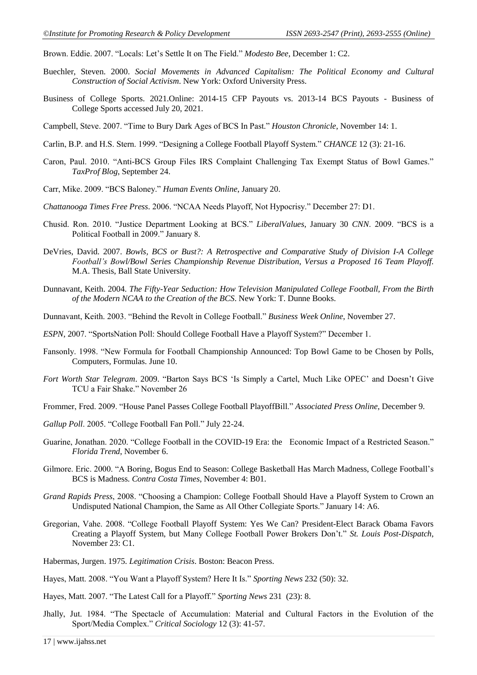Brown. Eddie. 2007. "Locals: Let"s Settle It on The Field." *Modesto Bee*, December 1: C2.

- Buechler, Steven. 2000. *Social Movements in Advanced Capitalism: The Political Economy and Cultural Construction of Social Activism*. New York: Oxford University Press.
- Business of College Sports. 2021.Online: [2014-15 CFP Payouts vs. 2013-14 BCS Payouts -](https://businessofcollegesports.com/data/2014-15-cfp-payouts-vs-2013-14-bcs-payouts/) Business of [College Sports](https://businessofcollegesports.com/data/2014-15-cfp-payouts-vs-2013-14-bcs-payouts/) accessed July 20, 2021.
- Campbell, Steve. 2007. "Time to Bury Dark Ages of BCS In Past." *Houston Chronicle*, November 14: 1.
- Carlin, B.P. and H.S. Stern. 1999. "Designing a College Football Playoff System." *CHANCE* 12 (3): 21-16.
- Caron, Paul. 2010. "Anti-BCS Group Files IRS Complaint Challenging Tax Exempt Status of Bowl Games." *TaxProf Blog*, September 24.
- Carr, Mike. 2009. "BCS Baloney." *Human Events Online*, January 20.
- *Chattanooga Times Free Press*. 2006. "NCAA Needs Playoff, Not Hypocrisy." December 27: D1.
- Chusid. Ron. 2010. "Justice Department Looking at BCS." *LiberalValues*, January 30 *CNN*. 2009. "BCS is a Political Football in 2009." January 8.
- DeVries, David. 2007. *Bowls, BCS or Bust?: A Retrospective and Comparative Study of Division I-A College Football's Bowl/Bowl Series Championship Revenue Distribution*, *Versus a Proposed 16 Team Playoff*. M.A. Thesis, Ball State University.
- Dunnavant, Keith. 2004. *The Fifty-Year Seduction: How Television Manipulated College Football, From the Birth of the Modern NCAA to the Creation of the BCS*. New York: T. Dunne Books.
- Dunnavant, Keith. 2003. "Behind the Revolt in College Football." *Business Week Online*, November 27.
- *ESPN*, 2007. "SportsNation Poll: Should College Football Have a Playoff System?" December 1.
- Fansonly. 1998. "New Formula for Football Championship Announced: Top Bowl Game to be Chosen by Polls, Computers, Formulas. June 10.
- *Fort Worth Star Telegram*. 2009. "Barton Says BCS "Is Simply a Cartel, Much Like OPEC" and Doesn"t Give TCU a Fair Shake." November 26
- Frommer, Fred. 2009. "House Panel Passes College Football PlayoffBill." *Associated Press Online*, December 9.
- *Gallup Poll*. 2005. "College Football Fan Poll." July 22-24.
- Guarine, Jonathan. 2020. "College Football in the COVID-19 Era: the Economic Impact of a Restricted Season." *Florida Trend*, November 6.
- Gilmore. Eric. 2000. "A Boring, Bogus End to Season: College Basketball Has March Madness, College Football"s BCS is Madness. *Contra Costa Times*, November 4: B01.
- *Grand Rapids Press*, 2008. "Choosing a Champion: College Football Should Have a Playoff System to Crown an Undisputed National Champion, the Same as All Other Collegiate Sports." January 14: A6.
- Gregorian, Vahe. 2008. "College Football Playoff System: Yes We Can? President-Elect Barack Obama Favors Creating a Playoff System, but Many College Football Power Brokers Don"t." *St. Louis Post-Dispatch*, November 23: C1.
- Habermas, Jurgen. 1975. *Legitimation Crisis*. Boston: Beacon Press.
- Hayes, Matt. 2008. "You Want a Playoff System? Here It Is." *Sporting News* 232 (50): 32.
- Hayes, Matt. 2007. "The Latest Call for a Playoff." *Sporting News* 231 (23): 8.
- Jhally, Jut. 1984. "The Spectacle of Accumulation: Material and Cultural Factors in the Evolution of the Sport/Media Complex." *Critical Sociology* 12 (3): 41-57.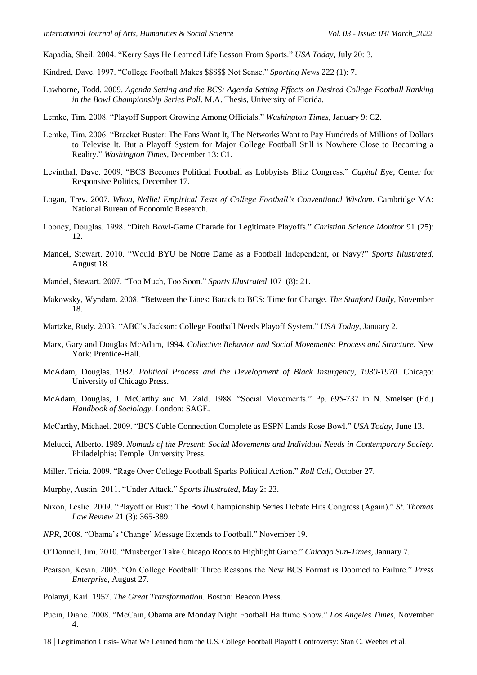Kapadia, Sheil. 2004. "Kerry Says He Learned Life Lesson From Sports." *USA Today*, July 20: 3.

Kindred, Dave. 1997. "College Football Makes \$\$\$\$\$ Not Sense." *Sporting News* 222 (1): 7.

- Lawhorne, Todd. 2009. *Agenda Setting and the BCS: Agenda Setting Effects on Desired College Football Ranking in the Bowl Championship Series Poll*. M.A. Thesis, University of Florida.
- Lemke, Tim. 2008. "Playoff Support Growing Among Officials." *Washington Times*, January 9: C2.
- Lemke, Tim. 2006. "Bracket Buster: The Fans Want It, The Networks Want to Pay Hundreds of Millions of Dollars to Televise It, But a Playoff System for Major College Football Still is Nowhere Close to Becoming a Reality." *Washington Times*, December 13: C1.
- Levinthal, Dave. 2009. "BCS Becomes Political Football as Lobbyists Blitz Congress." *Capital Eye*, Center for Responsive Politics, December 17.
- Logan, Trev. 2007. *Whoa, Nellie! Empirical Tests of College Football's Conventional Wisdom*. Cambridge MA: National Bureau of Economic Research.
- Looney, Douglas. 1998. "Ditch Bowl-Game Charade for Legitimate Playoffs." *Christian Science Monitor* 91 (25): 12.
- Mandel, Stewart. 2010. "Would BYU be Notre Dame as a Football Independent, or Navy?" *Sports Illustrated*, August 18.
- Mandel, Stewart. 2007. "Too Much, Too Soon." *Sports Illustrated* 107 (8): 21.
- Makowsky, Wyndam. 2008. "Between the Lines: Barack to BCS: Time for Change. *The Stanford Daily*, November 18.
- Martzke, Rudy. 2003. "ABC"s Jackson: College Football Needs Playoff System." *USA Today*, January 2.
- Marx, Gary and Douglas McAdam, 1994. *Collective Behavior and Social Movements: Process and Structure*. New York: Prentice-Hall.
- McAdam, Douglas. 1982. *Political Process and the Development of Black Insurgency, 1930-1970*. Chicago: University of Chicago Press.
- McAdam, Douglas, J. McCarthy and M. Zald. 1988. "Social Movements." Pp. 695-737 in N. Smelser (Ed.) *Handbook of Sociology*. London: SAGE.
- McCarthy, Michael. 2009. "BCS Cable Connection Complete as ESPN Lands Rose Bowl." *USA Today*, June 13.
- Melucci, Alberto. 1989. *Nomads of the Present*: *Social Movements and Individual Needs in Contemporary Society*. Philadelphia: Temple University Press.
- Miller. Tricia. 2009. "Rage Over College Football Sparks Political Action." *Roll Call*, October 27.
- Murphy, Austin. 2011. "Under Attack." *Sports Illustrated*, May 2: 23.
- Nixon, Leslie. 2009. "Playoff or Bust: The Bowl Championship Series Debate Hits Congress (Again)." *St. Thomas Law Review* 21 (3): 365-389.
- *NPR*, 2008. "Obama"s "Change" Message Extends to Football." November 19.
- O"Donnell, Jim. 2010. "Musberger Take Chicago Roots to Highlight Game." *Chicago Sun-Times*, January 7.
- Pearson, Kevin. 2005. "On College Football: Three Reasons the New BCS Format is Doomed to Failure." *Press Enterprise*, August 27.
- Polanyi, Karl. 1957. *The Great Transformation*. Boston: Beacon Press.
- Pucin, Diane. 2008. "McCain, Obama are Monday Night Football Halftime Show." *Los Angeles Times*, November 4.
- 18 | Legitimation Crisis- What We Learned from the U.S. College Football Playoff Controversy: Stan C. Weeber et al.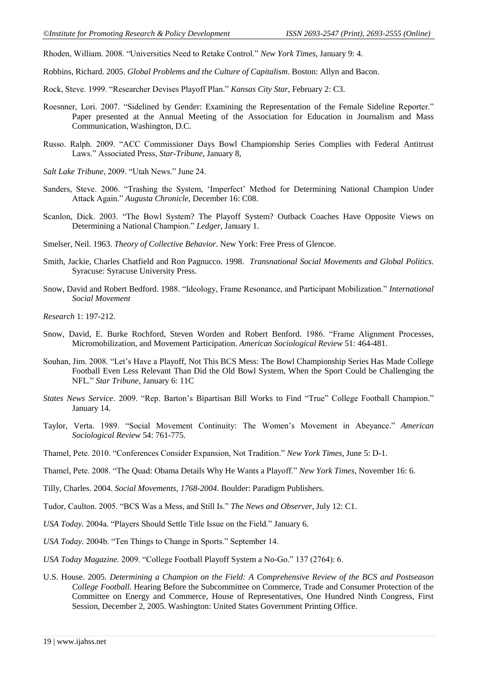Rhoden, William. 2008. "Universities Need to Retake Control." *New York Times*, January 9: 4.

- Robbins, Richard. 2005. *Global Problems and the Culture of Capitalism*. Boston: Allyn and Bacon.
- Rock, Steve. 1999. "Researcher Devises Playoff Plan." *Kansas City Star*, February 2: C3.
- Roesnner, Lori. 2007. "Sidelined by Gender: Examining the Representation of the Female Sideline Reporter." Paper presented at the Annual Meeting of the Association for Education in Journalism and Mass Communication, Washington, D.C.
- Russo. Ralph. 2009. "ACC Commissioner Days Bowl Championship Series Complies with Federal Antitrust Laws." Associated Press, *Star-Tribune*, January 8,
- *Salt Lake Tribune*, 2009. "Utah News." June 24.
- Sanders, Steve. 2006. "Trashing the System, "Imperfect" Method for Determining National Champion Under Attack Again." *Augusta Chronicle*, December 16: C08.
- Scanlon, Dick. 2003. "The Bowl System? The Playoff System? Outback Coaches Have Opposite Views on Determining a National Champion." *Ledger*, January 1.
- Smelser, Neil. 1963. *Theory of Collective Behavior*. New York: Free Press of Glencoe.
- Smith, Jackie, Charles Chatfield and Ron Pagnucco. 1998. *Transnational Social Movements and Global Politics.*  Syracuse: Syracuse University Press.
- Snow, David and Robert Bedford. 1988. "Ideology, Frame Resonance, and Participant Mobilization." *International Social Movement*

*Research* 1: 197-212.

- Snow, David, E. Burke Rochford, Steven Worden and Robert Benford. 1986. "Frame Alignment Processes, Micromobilization, and Movement Participation. *American Sociological Review* 51: 464-481.
- Souhan, Jim. 2008. "Let"s Have a Playoff, Not This BCS Mess: The Bowl Championship Series Has Made College Football Even Less Relevant Than Did the Old Bowl System, When the Sport Could be Challenging the NFL." *Star Tribune*, January 6: 11C
- *States News Service*. 2009. "Rep. Barton"s Bipartisan Bill Works to Find "True" College Football Champion." January 14.
- Taylor, Verta. 1989. "Social Movement Continuity: The Women"s Movement in Abeyance." *American Sociological Review* 54: 761-775.
- Thamel, Pete. 2010. "Conferences Consider Expansion, Not Tradition." *New York Times*, June 5: D-1.
- Thamel, Pete. 2008. "The Quad: Obama Details Why He Wants a Playoff." *New York Times*, November 16: 6.
- Tilly, Charles. 2004. *Social Movements, 1768-2004*. Boulder: Paradigm Publishers.
- Tudor, Caulton. 2005. "BCS Was a Mess, and Still Is." *The News and Observer*, July 12: C1.
- *USA Today.* 2004a. "Players Should Settle Title Issue on the Field." January 6.
- *USA Today.* 2004b. "Ten Things to Change in Sports." September 14.
- *USA Today Magazine.* 2009. "College Football Playoff System a No-Go." 137 (2764): 6.
- U.S. House. 2005. *Determining a Champion on the Field: A Comprehensive Review of the BCS and Postseason College Football*. Hearing Before the Subcommittee on Commerce, Trade and Consumer Protection of the Committee on Energy and Commerce, House of Representatives, One Hundred Ninth Congress, First Session, December 2, 2005. Washington: United States Government Printing Office.